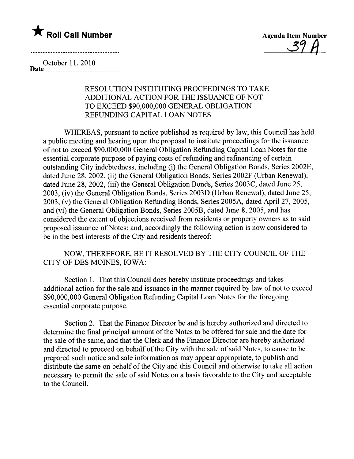

 $\frac{O}{1}$ 

October 11, 2010 Date \_\_\_\_ \_ \_\_\_\_\_\_\_\_ \_ \_\_\_\_ \_ \_ \_ \_ \_ \_\_\_\_\_\_\_\_\_\_ \_\_\_\_\_ \_ \_\_\_\_\_

## RESOLUTION INSTITUTING PROCEEDINGS TO TAKE ADDITIONAL ACTION FOR THE ISSUANCE OF NOT TO EXCEED \$90,000,000 GENERAL OBLIGATION REFUNING CAPITAL LOAN NOTES

WHEREAS, pursuant to notice published as required by law, this Council has held a public meeting and hearing upon the proposal to institute proceedings for the issuance of not to exceed \$90,000,000 General Obligation Refunding Capital Loan Notes for the essential corporate purpose of paying costs of refunding and refinancing of certain outstanding City indebtedness, including (i) the General Obligation Bonds, Series 2002E, dated June 28, 2002, (ii) the General Obligation Bonds, Series 2002F (Urban Renewal), dated June 28, 2002, (iii) the General Obligation Bonds, Series 2003C, dated June 25, 2003, (iv) the General Obligation Bonds, Series 2003D (Urban Renewal), dated June 25, 2003, (v) the General Obligation Refunding Bonds, Series 2005A, dated April 27, 2005, and (vi) the General Obligation Bonds, Series 2005B, dated June 8,2005, and has considered the extent of objections received from residents or property owners as to said proposed issuance of Notes; and, accordingly the following action is now considered to be in the best interests of the City and residents thereof:

NOW, THEREFORE, BE IT RESOLVED BY THE CITY COUNCIL OF THE CITY OF DES MOINES, IOWA:

Section 1. That this Council does hereby institute proceedings and takes additional action for the sale and issuance in the manner required by law of not to exceed \$90,000,000 General Obligation Refunding Capital Loan Notes for the foregoing essential corporate purpose.

Section 2. That the Finance Director be and is hereby authorized and directed to determine the final principal amount of the Notes to be offered for sale and the date for the sale of the same, and that the Clerk and the Finance Director are hereby authorized and directed to proceed on behalf of the City with the sale of said Notes, to cause to be prepared such notice and sale information as may appear appropriate, to publish and distribute the same on behalf of the City and this Council and otherwise to take all action necessary to permit the sale of said Notes on a basis favorable to the City and acceptable to the CounciL.